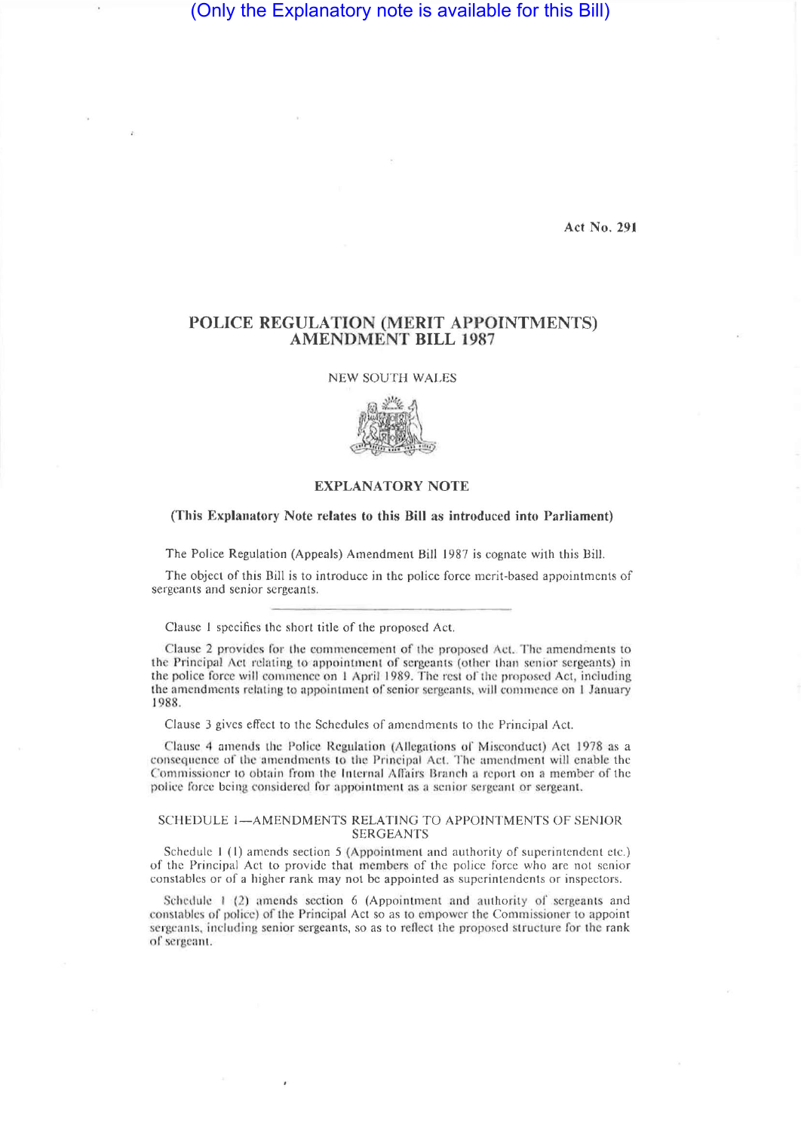(Only the Explanatory note is available for this Bill)

**Act No. 291** 

# **POLICE REGULATION (MERIT APPOINTMENTS) AMENDMENT BILL 1987**

NEW SOUTH WALES



### **EXPLANATORY NOTE**

#### **(This Explanatory Note relates to this Bill as introduced into Parliament)**

The Police Regulation (Appeals) Amendment Bill 1987 is cognate with this Bill.

The object of this Bill is to introduce in the police force merit-based appointments of sergeants and senior sergeants.

Clause 1 specifies the short title of the proposed Act.

Clause 2 provides for the commencement of the proposed Act. The amendments to the Principal Act relating io appointment of sergeants (other than senior sergeants) in the police force will commence on I April 1989. The rest of the proposed Act, including the amendments relating to appointment of senior sergeants, will commence on I January 1988.

Clause 3 gives effect to the Schedules of amendments to the Principal Act.

Clause A amends the Police Regulation (Allegations of Misconduct) Act 1978 as a consequence of the amendments to the Principal Act. The amendment will enable the Commissioner to obtain from the Internal Affairs Branch a report on a member of the police force being considered for appointment as a senior sergeant or sergeant.

## SCHEDULE 1—AMENDMENTS RELATING TO APPOINTMENTS OF SENIOR SERGEANTS

Schedule 1(1) amends section 5 (Appointment and authority of superintendent etc.) of the Principal Act to provide that members of the police force who are not senior constables or of a higher rank may not be appointed as superintendents or inspectors.

Schedule 1 (2) amends section 6 (Appointment and authority of sergeants and constables of police) of the Principal Act so as to empower the Commissioner to appoint sergeants, including senior sergeants, so as to reflect the proposed structure for the rank of sergeant.